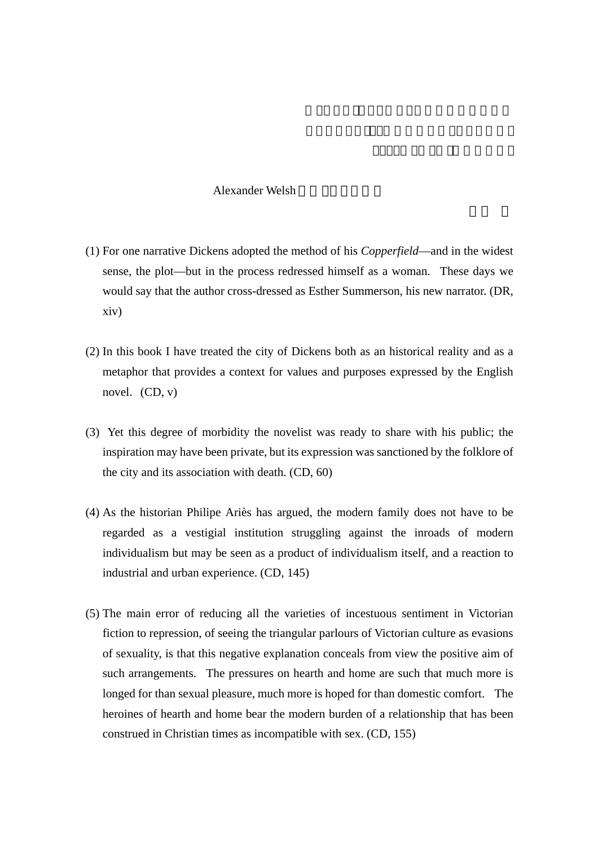## Alexander Welsh

- (1) For one narrative Dickens adopted the method of his *Copperfield*—and in the widest sense, the plot—but in the process redressed himself as a woman. These days we would say that the author cross-dressed as Esther Summerson, his new narrator. (DR, xiv)
- (2) In this book I have treated the city of Dickens both as an historical reality and as a metaphor that provides a context for values and purposes expressed by the English novel.  $(CD, v)$
- (3) Yet this degree of morbidity the novelist was ready to share with his public; the inspiration may have been private, but its expression was sanctioned by the folklore of the city and its association with death. (CD, 60)
- (4) As the historian Philipe Ariès has argued, the modern family does not have to be regarded as a vestigial institution struggling against the inroads of modern individualism but may be seen as a product of individualism itself, and a reaction to industrial and urban experience. (CD, 145)
- (5) The main error of reducing all the varieties of incestuous sentiment in Victorian fiction to repression, of seeing the triangular parlours of Victorian culture as evasions of sexuality, is that this negative explanation conceals from view the positive aim of such arrangements. The pressures on hearth and home are such that much more is longed for than sexual pleasure, much more is hoped for than domestic comfort. The heroines of hearth and home bear the modern burden of a relationship that has been construed in Christian times as incompatible with sex. (CD, 155)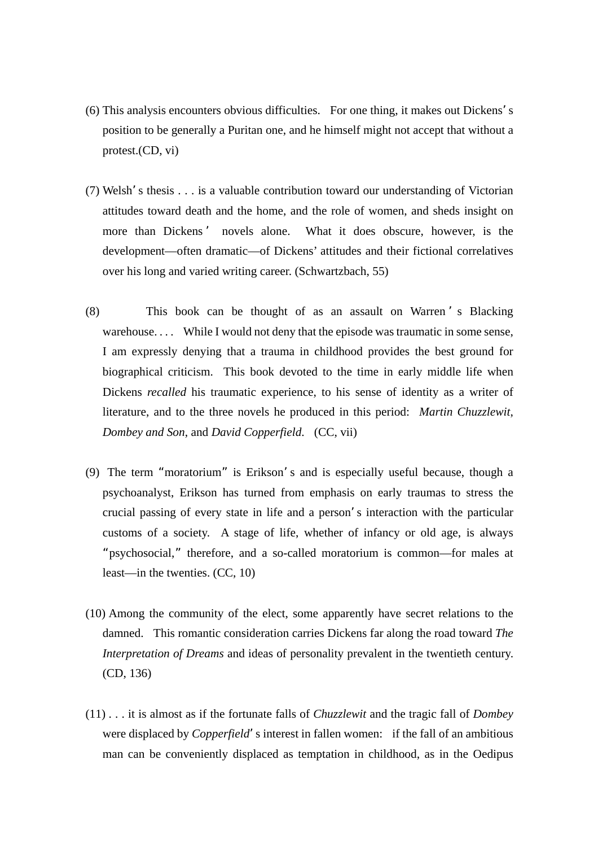- (6) This analysis encounters obvious difficulties. For one thing, it makes out Dickens's position to be generally a Puritan one, and he himself might not accept that without a protest.(CD, vi)
- (7) Welsh's thesis . . . is a valuable contribution toward our understanding of Victorian attitudes toward death and the home, and the role of women, and sheds insight on more than Dickens' novels alone. What it does obscure, however, is the development—often dramatic—of Dickens' attitudes and their fictional correlatives over his long and varied writing career. (Schwartzbach, 55)
- (8) This book can be thought of as an assault on Warren ' s Blacking warehouse.... While I would not deny that the episode was traumatic in some sense, I am expressly denying that a trauma in childhood provides the best ground for biographical criticism. This book devoted to the time in early middle life when Dickens *recalled* his traumatic experience, to his sense of identity as a writer of literature, and to the three novels he produced in this period: *Martin Chuzzlewit*, *Dombey and Son*, and *David Copperfield*. (CC, vii)
- (9) The term "moratorium" is Erikson's and is especially useful because, though a psychoanalyst, Erikson has turned from emphasis on early traumas to stress the crucial passing of every state in life and a person's interaction with the particular customs of a society. A stage of life, whether of infancy or old age, is always "psychosocial," therefore, and a so-called moratorium is common—for males at least—in the twenties. (CC, 10)
- (10) Among the community of the elect, some apparently have secret relations to the damned. This romantic consideration carries Dickens far along the road toward *The Interpretation of Dreams* and ideas of personality prevalent in the twentieth century. (CD, 136)
- (11) . . . it is almost as if the fortunate falls of *Chuzzlewit* and the tragic fall of *Dombey*  were displaced by *Copperfield*'s interest in fallen women: if the fall of an ambitious man can be conveniently displaced as temptation in childhood, as in the Oedipus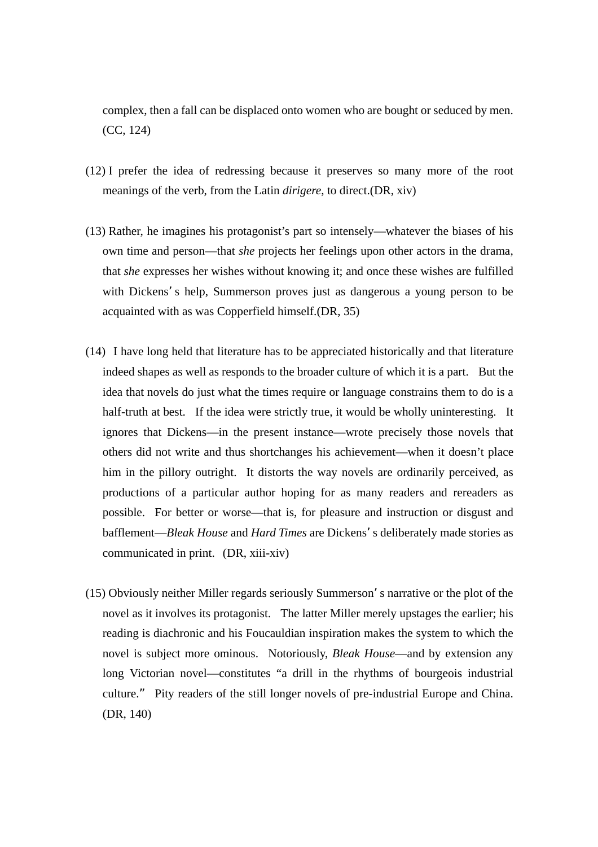complex, then a fall can be displaced onto women who are bought or seduced by men. (CC, 124)

- (12) I prefer the idea of redressing because it preserves so many more of the root meanings of the verb, from the Latin *dirigere*, to direct.(DR, xiv)
- (13) Rather, he imagines his protagonist's part so intensely—whatever the biases of his own time and person—that *she* projects her feelings upon other actors in the drama, that *she* expresses her wishes without knowing it; and once these wishes are fulfilled with Dickens's help, Summerson proves just as dangerous a young person to be acquainted with as was Copperfield himself.(DR, 35)
- (14) I have long held that literature has to be appreciated historically and that literature indeed shapes as well as responds to the broader culture of which it is a part. But the idea that novels do just what the times require or language constrains them to do is a half-truth at best. If the idea were strictly true, it would be wholly uninteresting. It ignores that Dickens—in the present instance—wrote precisely those novels that others did not write and thus shortchanges his achievement—when it doesn't place him in the pillory outright. It distorts the way novels are ordinarily perceived, as productions of a particular author hoping for as many readers and rereaders as possible. For better or worse—that is, for pleasure and instruction or disgust and bafflement—*Bleak House* and *Hard Times* are Dickens's deliberately made stories as communicated in print. (DR, xiii-xiv)
- (15) Obviously neither Miller regards seriously Summerson's narrative or the plot of the novel as it involves its protagonist. The latter Miller merely upstages the earlier; his reading is diachronic and his Foucauldian inspiration makes the system to which the novel is subject more ominous. Notoriously, *Bleak House*—and by extension any long Victorian novel—constitutes "a drill in the rhythms of bourgeois industrial culture." Pity readers of the still longer novels of pre-industrial Europe and China. (DR, 140)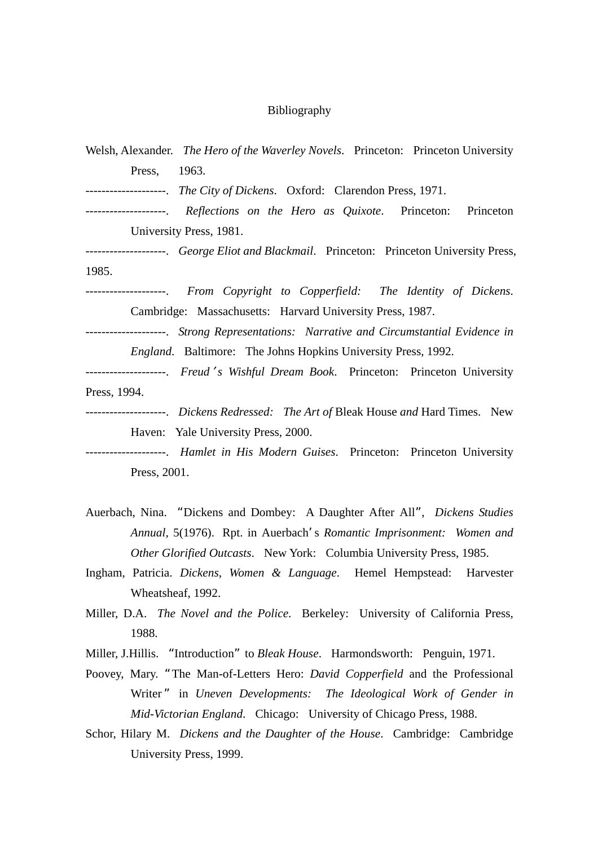## Bibliography

| Welsh, Alexander. <i>The Hero of the Waverley Novels</i> . Princeton: Princeton University |
|--------------------------------------------------------------------------------------------|
| 1963.<br>Press,                                                                            |
| --------------------. The City of Dickens. Oxford: Clarendon Press, 1971.                  |
| --------------------. Reflections on the Hero as Quixote. Princeton: Princeton             |
| University Press, 1981.                                                                    |
| --------------------. George Eliot and Blackmail. Princeton: Princeton University Press,   |
| 1985.                                                                                      |
| --------------------. From Copyright to Copperfield: The Identity of Dickens.              |
| Cambridge: Massachusetts: Harvard University Press, 1987.                                  |
| --------------------. Strong Representations: Narrative and Circumstantial Evidence in     |
| <i>England.</i> Baltimore: The Johns Hopkins University Press, 1992.                       |
| --------------------. Freud's Wishful Dream Book. Princeton: Princeton University          |
| Press, 1994.                                                                               |
| --------------------. Dickens Redressed: The Art of Bleak House and Hard Times. New        |
| Haven: Yale University Press, 2000.                                                        |
| --------------------. Hamlet in His Modern Guises. Princeton: Princeton University         |
| Press, 2001.                                                                               |

- Auerbach, Nina. "Dickens and Dombey: A Daughter After All", *Dickens Studies Annual,* 5(1976). Rpt. in Auerbach's *Romantic Imprisonment: Women and Other Glorified Outcasts*. New York: Columbia University Press, 1985.
- Ingham, Patricia. *Dickens, Women & Language*. Hemel Hempstead: Harvester Wheatsheaf, 1992.
- Miller, D.A. *The Novel and the Police*. Berkeley: University of California Press, 1988.
- Miller, J.Hillis. "Introduction" to *Bleak House*. Harmondsworth: Penguin, 1971.
- Poovey, Mary. "The Man-of-Letters Hero: *David Copperfield* and the Professional Writer" in *Uneven Developments: The Ideological Work of Gender in Mid-Victorian England*. Chicago: University of Chicago Press, 1988.
- Schor, Hilary M. *Dickens and the Daughter of the House*. Cambridge: Cambridge University Press, 1999.